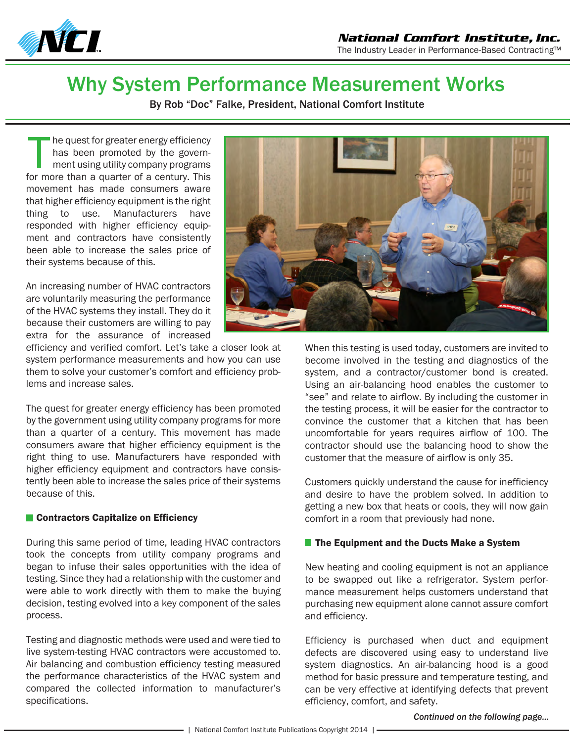

## Why System Performance Measurement Works

By Rob "Doc" Falke, President, National Comfort Institute

he quest for greater energy efficiency has been promoted by the government using utility company programs The quest for greater energy efficiency<br>has been promoted by the govern-<br>ment using utility company programs<br>for more than a quarter of a century. This movement has made consumers aware that higher efficiency equipment is the right thing to use. Manufacturers have responded with higher efficiency equipment and contractors have consistently been able to increase the sales price of their systems because of this.

An increasing number of HVAC contractors are voluntarily measuring the performance of the HVAC systems they install. They do it because their customers are willing to pay extra for the assurance of increased

efficiency and verified comfort. Let's take a closer look at system performance measurements and how you can use them to solve your customer's comfort and efficiency problems and increase sales.

The quest for greater energy efficiency has been promoted by the government using utility company programs for more than a quarter of a century. This movement has made consumers aware that higher efficiency equipment is the right thing to use. Manufacturers have responded with higher efficiency equipment and contractors have consistently been able to increase the sales price of their systems because of this.

## ■ Contractors Capitalize on Efficiency

During this same period of time, leading HVAC contractors took the concepts from utility company programs and began to infuse their sales opportunities with the idea of testing. Since they had a relationship with the customer and were able to work directly with them to make the buying decision, testing evolved into a key component of the sales process.

Testing and diagnostic methods were used and were tied to live system-testing HVAC contractors were accustomed to. Air balancing and combustion efficiency testing measured the performance characteristics of the HVAC system and compared the collected information to manufacturer's specifications.



When this testing is used today, customers are invited to become involved in the testing and diagnostics of the system, and a contractor/customer bond is created. Using an air-balancing hood enables the customer to "see" and relate to airflow. By including the customer in the testing process, it will be easier for the contractor to convince the customer that a kitchen that has been uncomfortable for years requires airflow of 100. The contractor should use the balancing hood to show the customer that the measure of airflow is only 35.

Customers quickly understand the cause for inefficiency and desire to have the problem solved. In addition to getting a new box that heats or cools, they will now gain comfort in a room that previously had none.

## $\blacksquare$  The Equipment and the Ducts Make a System

New heating and cooling equipment is not an appliance to be swapped out like a refrigerator. System performance measurement helps customers understand that purchasing new equipment alone cannot assure comfort and efficiency.

Efficiency is purchased when duct and equipment defects are discovered using easy to understand live system diagnostics. An air-balancing hood is a good method for basic pressure and temperature testing, and can be very effective at identifying defects that prevent efficiency, comfort, and safety.

*Continued on the following page...*